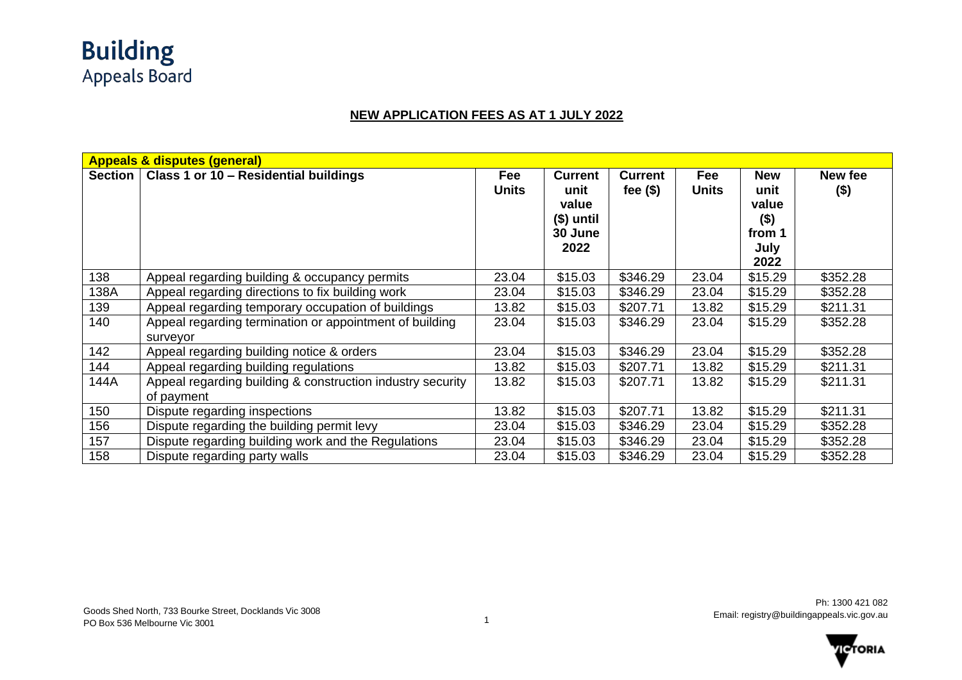

## **NEW APPLICATION FEES AS AT 1 JULY 2022**

|                | <b>Appeals &amp; disputes (general)</b>                                  |                     |                                                                  |                             |                     |                                                                  |                  |  |  |
|----------------|--------------------------------------------------------------------------|---------------------|------------------------------------------------------------------|-----------------------------|---------------------|------------------------------------------------------------------|------------------|--|--|
| <b>Section</b> | Class 1 or 10 - Residential buildings                                    | Fee<br><b>Units</b> | <b>Current</b><br>unit<br>value<br>$$)$ until<br>30 June<br>2022 | <b>Current</b><br>fee $($)$ | Fee<br><b>Units</b> | <b>New</b><br>unit<br>value<br>$($ \$)<br>from 1<br>July<br>2022 | New fee<br>$($)$ |  |  |
| 138            | Appeal regarding building & occupancy permits                            | 23.04               | \$15.03                                                          | \$346.29                    | 23.04               | \$15.29                                                          | \$352.28         |  |  |
| 138A           | Appeal regarding directions to fix building work                         | 23.04               | \$15.03                                                          | \$346.29                    | 23.04               | \$15.29                                                          | \$352.28         |  |  |
| 139            | Appeal regarding temporary occupation of buildings                       | 13.82               | \$15.03                                                          | \$207.71                    | 13.82               | \$15.29                                                          | \$211.31         |  |  |
| 140            | Appeal regarding termination or appointment of building<br>surveyor      | 23.04               | \$15.03                                                          | \$346.29                    | 23.04               | \$15.29                                                          | \$352.28         |  |  |
| 142            | Appeal regarding building notice & orders                                | 23.04               | \$15.03                                                          | \$346.29                    | 23.04               | \$15.29                                                          | \$352.28         |  |  |
| 144            | Appeal regarding building regulations                                    | 13.82               | \$15.03                                                          | \$207.71                    | 13.82               | \$15.29                                                          | \$211.31         |  |  |
| 144A           | Appeal regarding building & construction industry security<br>of payment | 13.82               | \$15.03                                                          | \$207.71                    | 13.82               | \$15.29                                                          | \$211.31         |  |  |
| 150            | Dispute regarding inspections                                            | 13.82               | \$15.03                                                          | \$207.71                    | 13.82               | \$15.29                                                          | \$211.31         |  |  |
| 156            | Dispute regarding the building permit levy                               | 23.04               | \$15.03                                                          | \$346.29                    | 23.04               | \$15.29                                                          | \$352.28         |  |  |
| 157            | Dispute regarding building work and the Regulations                      | 23.04               | \$15.03                                                          | \$346.29                    | 23.04               | \$15.29                                                          | \$352.28         |  |  |
| 158            | Dispute regarding party walls                                            | 23.04               | \$15.03                                                          | \$346.29                    | 23.04               | \$15.29                                                          | \$352.28         |  |  |

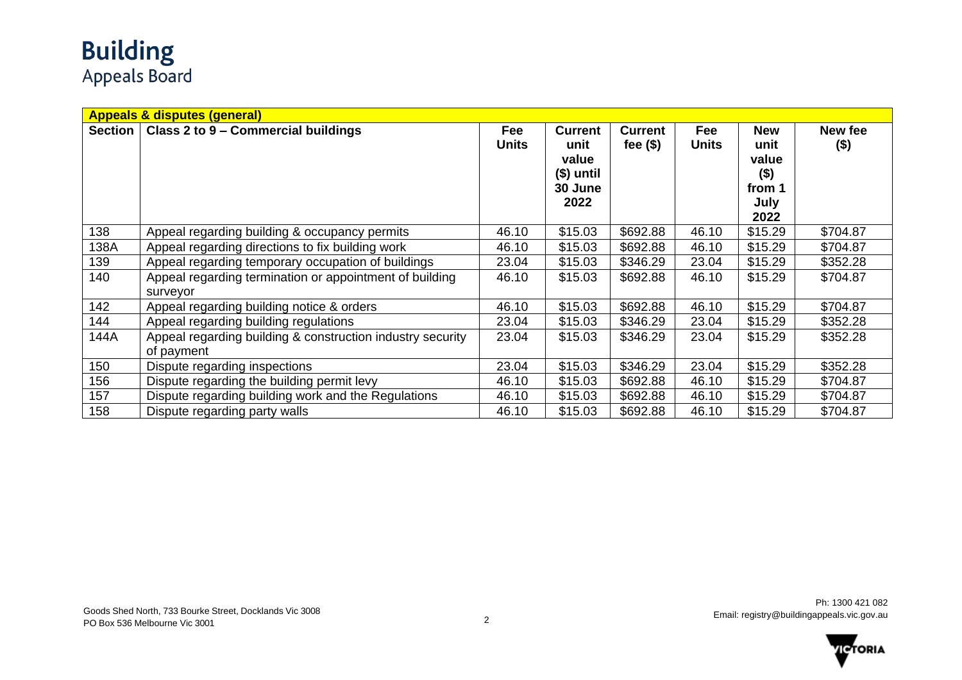## **Building**<br>Appeals Board

|         | <b>Appeals &amp; disputes (general)</b>                                  |                     |                                                                  |                               |                     |                                                                  |                    |  |  |
|---------|--------------------------------------------------------------------------|---------------------|------------------------------------------------------------------|-------------------------------|---------------------|------------------------------------------------------------------|--------------------|--|--|
| Section | Class 2 to 9 - Commercial buildings                                      | Fee<br><b>Units</b> | <b>Current</b><br>unit<br>value<br>$$)$ until<br>30 June<br>2022 | <b>Current</b><br>fee $($ \$) | Fee<br><b>Units</b> | <b>New</b><br>unit<br>value<br>$($ \$)<br>from 1<br>July<br>2022 | New fee<br>$($ \$) |  |  |
| 138     | Appeal regarding building & occupancy permits                            | 46.10               | \$15.03                                                          | \$692.88                      | 46.10               | \$15.29                                                          | \$704.87           |  |  |
| 138A    | Appeal regarding directions to fix building work                         | 46.10               | \$15.03                                                          | \$692.88                      | 46.10               | \$15.29                                                          | \$704.87           |  |  |
| 139     | Appeal regarding temporary occupation of buildings                       | 23.04               | \$15.03                                                          | \$346.29                      | 23.04               | \$15.29                                                          | \$352.28           |  |  |
| 140     | Appeal regarding termination or appointment of building<br>surveyor      | 46.10               | \$15.03                                                          | \$692.88                      | 46.10               | \$15.29                                                          | \$704.87           |  |  |
| 142     | Appeal regarding building notice & orders                                | 46.10               | \$15.03                                                          | \$692.88                      | 46.10               | \$15.29                                                          | \$704.87           |  |  |
| 144     | Appeal regarding building regulations                                    | 23.04               | \$15.03                                                          | \$346.29                      | 23.04               | \$15.29                                                          | \$352.28           |  |  |
| 144A    | Appeal regarding building & construction industry security<br>of payment | 23.04               | \$15.03                                                          | \$346.29                      | 23.04               | \$15.29                                                          | \$352.28           |  |  |
| 150     | Dispute regarding inspections                                            | 23.04               | \$15.03                                                          | \$346.29                      | 23.04               | \$15.29                                                          | \$352.28           |  |  |
| 156     | Dispute regarding the building permit levy                               | 46.10               | \$15.03                                                          | \$692.88                      | 46.10               | \$15.29                                                          | \$704.87           |  |  |
| 157     | Dispute regarding building work and the Regulations                      | 46.10               | \$15.03                                                          | \$692.88                      | 46.10               | \$15.29                                                          | \$704.87           |  |  |
| 158     | Dispute regarding party walls                                            | 46.10               | \$15.03                                                          | \$692.88                      | 46.10               | \$15.29                                                          | \$704.87           |  |  |

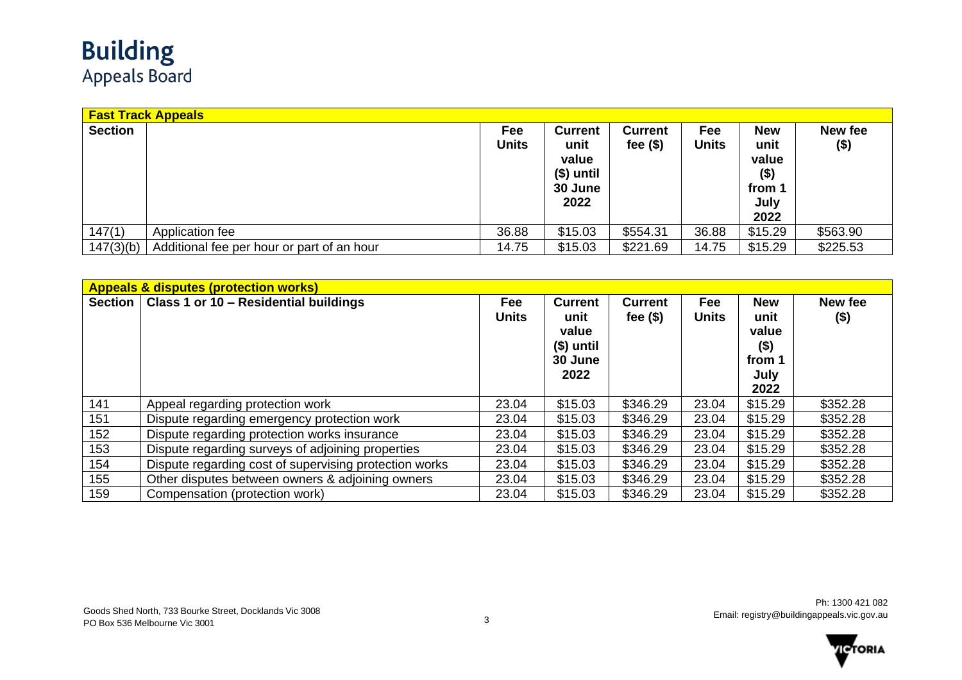|                | <b>Fast Track Appeals</b>                  |                     |                                                                  |                               |              |                                                                  |                    |
|----------------|--------------------------------------------|---------------------|------------------------------------------------------------------|-------------------------------|--------------|------------------------------------------------------------------|--------------------|
| <b>Section</b> |                                            | Fee<br><b>Units</b> | <b>Current</b><br>unit<br>value<br>(\$) until<br>30 June<br>2022 | <b>Current</b><br>fee $($ \$) | Fee<br>Units | <b>New</b><br>unit<br>value<br>$($ \$)<br>from 1<br>July<br>2022 | New fee<br>$($ \$) |
| 147(1)         | Application fee                            | 36.88               | \$15.03                                                          | \$554.31                      | 36.88        | \$15.29                                                          | \$563.90           |
| 147(3)(b)      | Additional fee per hour or part of an hour | 14.75               | \$15.03                                                          | \$221.69                      | 14.75        | \$15.29                                                          | \$225.53           |

|                | <b>Appeals &amp; disputes (protection works)</b>       |                     |                                                                  |                               |                     |                                                                  |                  |  |  |  |  |
|----------------|--------------------------------------------------------|---------------------|------------------------------------------------------------------|-------------------------------|---------------------|------------------------------------------------------------------|------------------|--|--|--|--|
| <b>Section</b> | Class 1 or 10 - Residential buildings                  | Fee<br><b>Units</b> | <b>Current</b><br>unit<br>value<br>$$)$ until<br>30 June<br>2022 | <b>Current</b><br>fee $($ \$) | Fee<br><b>Units</b> | <b>New</b><br>unit<br>value<br>$($ \$)<br>from 1<br>July<br>2022 | New fee<br>$($)$ |  |  |  |  |
| 141            | Appeal regarding protection work                       | 23.04               | \$15.03                                                          | \$346.29                      | 23.04               | \$15.29                                                          | \$352.28         |  |  |  |  |
| 151            | Dispute regarding emergency protection work            | 23.04               | \$15.03                                                          | \$346.29                      | 23.04               | \$15.29                                                          | \$352.28         |  |  |  |  |
| 152            | Dispute regarding protection works insurance           | 23.04               | \$15.03                                                          | \$346.29                      | 23.04               | \$15.29                                                          | \$352.28         |  |  |  |  |
| 153            | Dispute regarding surveys of adjoining properties      | 23.04               | \$15.03                                                          | \$346.29                      | 23.04               | \$15.29                                                          | \$352.28         |  |  |  |  |
| 154            | Dispute regarding cost of supervising protection works | 23.04               | \$15.03                                                          | \$346.29                      | 23.04               | \$15.29                                                          | \$352.28         |  |  |  |  |
| 155            | Other disputes between owners & adjoining owners       | 23.04               | \$15.03                                                          | \$346.29                      | 23.04               | \$15.29                                                          | \$352.28         |  |  |  |  |
| 159            | Compensation (protection work)                         | 23.04               | \$15.03                                                          | \$346.29                      | 23.04               | \$15.29                                                          | \$352.28         |  |  |  |  |

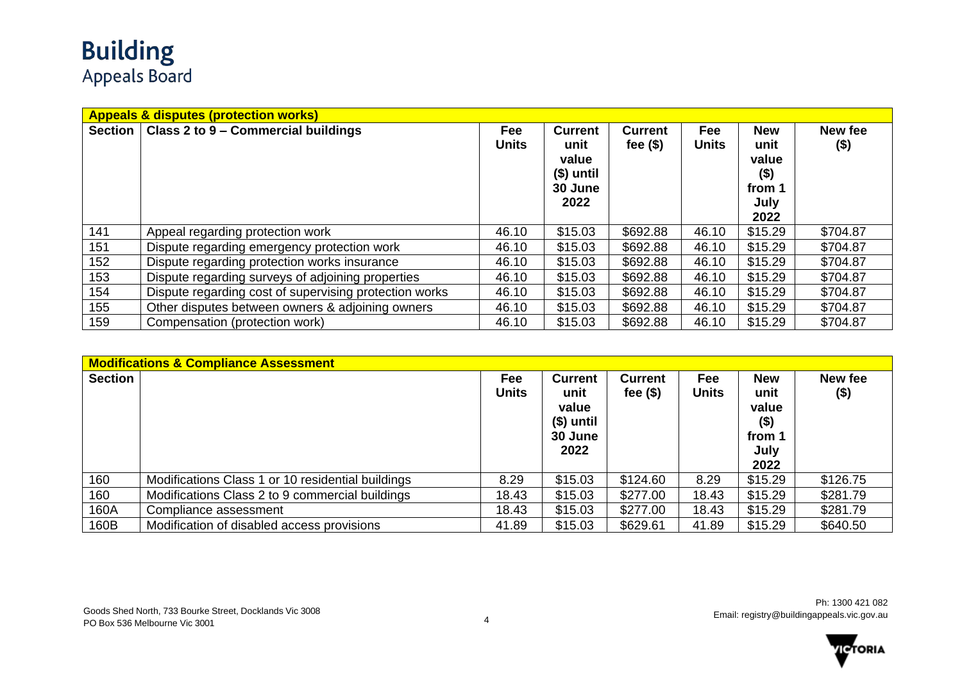## **Building**<br>Appeals Board

|                | <b>Appeals &amp; disputes (protection works)</b>       |                     |                                                                  |                               |                     |                                                                  |                    |  |  |  |
|----------------|--------------------------------------------------------|---------------------|------------------------------------------------------------------|-------------------------------|---------------------|------------------------------------------------------------------|--------------------|--|--|--|
| <b>Section</b> | Class 2 to 9 - Commercial buildings                    | Fee<br><b>Units</b> | <b>Current</b><br>unit<br>value<br>$$)$ until<br>30 June<br>2022 | <b>Current</b><br>fee $($ \$) | Fee<br><b>Units</b> | <b>New</b><br>unit<br>value<br>$($ \$)<br>from 1<br>July<br>2022 | New fee<br>$($ \$) |  |  |  |
| 141            | Appeal regarding protection work                       | 46.10               | \$15.03                                                          | \$692.88                      | 46.10               | \$15.29                                                          | \$704.87           |  |  |  |
| 151            | Dispute regarding emergency protection work            | 46.10               | \$15.03                                                          | \$692.88                      | 46.10               | \$15.29                                                          | \$704.87           |  |  |  |
| 152            | Dispute regarding protection works insurance           | 46.10               | \$15.03                                                          | \$692.88                      | 46.10               | \$15.29                                                          | \$704.87           |  |  |  |
| 153            | Dispute regarding surveys of adjoining properties      | 46.10               | \$15.03                                                          | \$692.88                      | 46.10               | \$15.29                                                          | \$704.87           |  |  |  |
| 154            | Dispute regarding cost of supervising protection works | 46.10               | \$15.03                                                          | \$692.88                      | 46.10               | \$15.29                                                          | \$704.87           |  |  |  |
| 155            | Other disputes between owners & adjoining owners       | 46.10               | \$15.03                                                          | \$692.88                      | 46.10               | \$15.29                                                          | \$704.87           |  |  |  |
| 159            | Compensation (protection work)                         | 46.10               | \$15.03                                                          | \$692.88                      | 46.10               | \$15.29                                                          | \$704.87           |  |  |  |

|                | <b>Modifications &amp; Compliance Assessment</b>  |                     |                                                                  |                               |                     |                                                                  |                    |  |  |  |
|----------------|---------------------------------------------------|---------------------|------------------------------------------------------------------|-------------------------------|---------------------|------------------------------------------------------------------|--------------------|--|--|--|
| <b>Section</b> |                                                   | Fee<br><b>Units</b> | <b>Current</b><br>unit<br>value<br>$$)$ until<br>30 June<br>2022 | <b>Current</b><br>fee $($ \$) | Fee<br><b>Units</b> | <b>New</b><br>unit<br>value<br>$($ \$)<br>from 1<br>July<br>2022 | New fee<br>$($ \$) |  |  |  |
| 160            | Modifications Class 1 or 10 residential buildings | 8.29                | \$15.03                                                          | \$124.60                      | 8.29                | \$15.29                                                          | \$126.75           |  |  |  |
| 160            | Modifications Class 2 to 9 commercial buildings   | 18.43               | \$15.03                                                          | \$277.00                      | 18.43               | \$15.29                                                          | \$281.79           |  |  |  |
| 160A           | Compliance assessment                             | 18.43               | \$15.03                                                          | \$277.00                      | 18.43               | \$15.29                                                          | \$281.79           |  |  |  |
| 160B           | Modification of disabled access provisions        | 41.89               | \$15.03                                                          | \$629.61                      | 41.89               | \$15.29                                                          | \$640.50           |  |  |  |